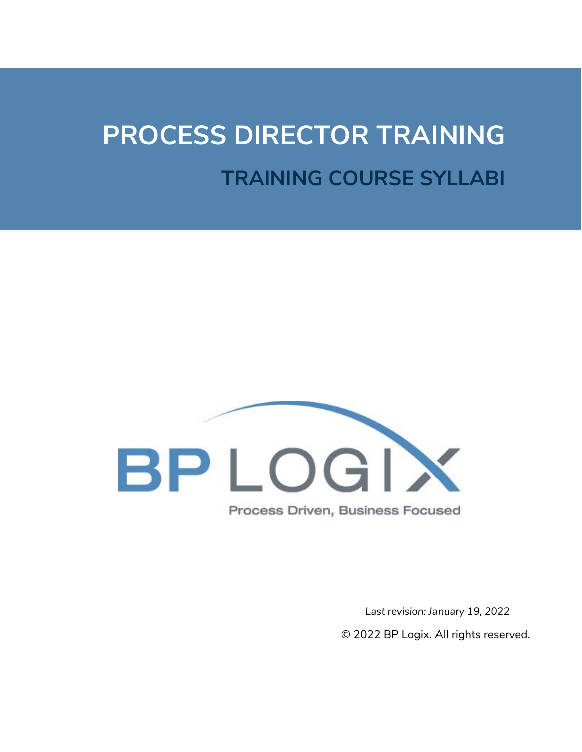# **PROCESS DIRECTOR TRAINING TRAINING COURSE SYLLABI**



*Last revision: January 19, 2022* © 2022 BP Logix. All rights reserved.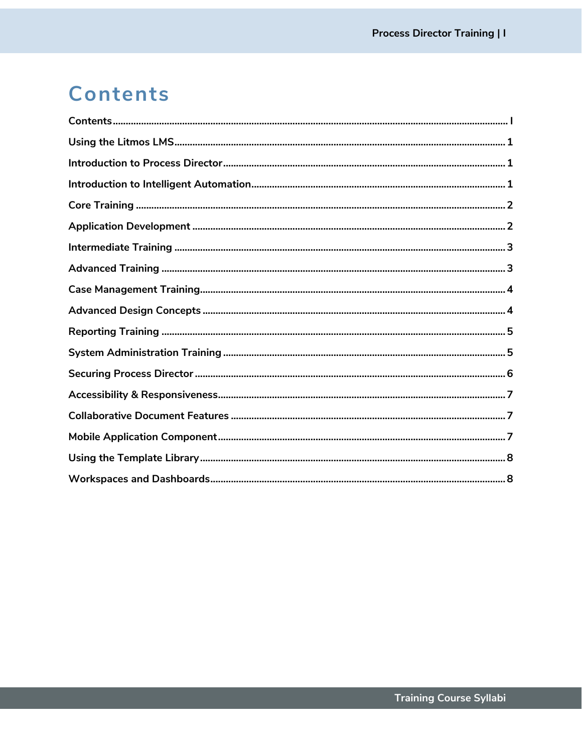# Contents

<span id="page-1-0"></span>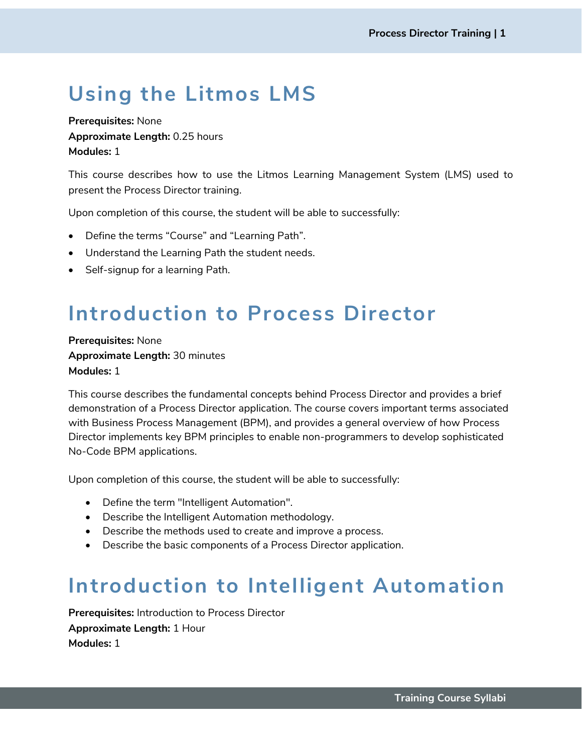# <span id="page-2-0"></span>**Using the Litmos LMS**

**Prerequisites:** None **Approximate Length:** 0.25 hours **Modules:** 1

This course describes how to use the Litmos Learning Management System (LMS) used to present the Process Director training.

Upon completion of this course, the student will be able to successfully:

- Define the terms "Course" and "Learning Path".
- Understand the Learning Path the student needs.
- Self-signup for a learning Path.

## <span id="page-2-1"></span>**Introduction to Process Director**

**Prerequisites:** None **Approximate Length:** 30 minutes **Modules:** 1

This course describes the fundamental concepts behind Process Director and provides a brief demonstration of a Process Director application. The course covers important terms associated with Business Process Management (BPM), and provides a general overview of how Process Director implements key BPM principles to enable non-programmers to develop sophisticated No-Code BPM applications.

Upon completion of this course, the student will be able to successfully:

- Define the term "Intelligent Automation".
- Describe the Intelligent Automation methodology.
- Describe the methods used to create and improve a process.
- Describe the basic components of a Process Director application.

#### <span id="page-2-2"></span>**Introduction to Intelligent Automation**

**Prerequisites:** Introduction to Process Director **Approximate Length:** 1 Hour **Modules:** 1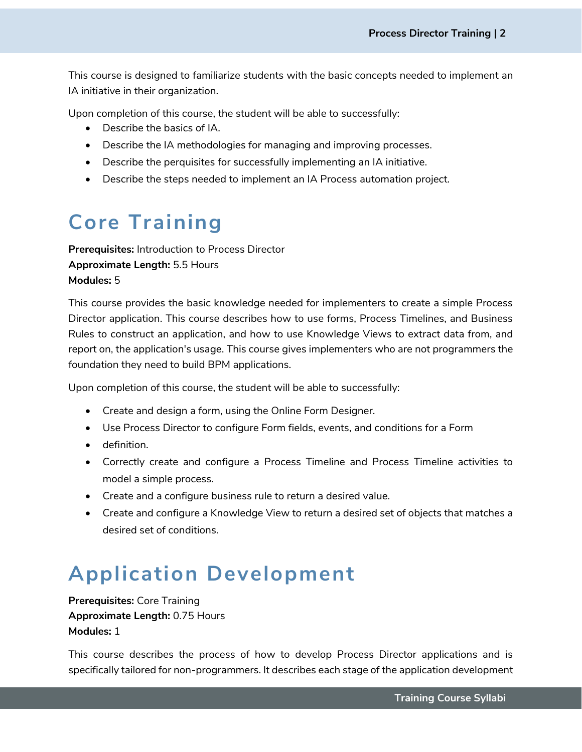This course is designed to familiarize students with the basic concepts needed to implement an IA initiative in their organization.

Upon completion of this course, the student will be able to successfully:

- Describe the basics of IA.
- Describe the IA methodologies for managing and improving processes.
- Describe the perquisites for successfully implementing an IA initiative.
- Describe the steps needed to implement an IA Process automation project.

### <span id="page-3-0"></span>**Core Training**

**Prerequisites:** Introduction to Process Director **Approximate Length:** 5.5 Hours **Modules:** 5

This course provides the basic knowledge needed for implementers to create a simple Process Director application. This course describes how to use forms, Process Timelines, and Business Rules to construct an application, and how to use Knowledge Views to extract data from, and report on, the application's usage. This course gives implementers who are not programmers the foundation they need to build BPM applications.

Upon completion of this course, the student will be able to successfully:

- Create and design a form, using the Online Form Designer.
- Use Process Director to configure Form fields, events, and conditions for a Form
- definition.
- Correctly create and configure a Process Timeline and Process Timeline activities to model a simple process.
- Create and a configure business rule to return a desired value.
- Create and configure a Knowledge View to return a desired set of objects that matches a desired set of conditions.

#### <span id="page-3-1"></span>**Application Development**

**Prerequisites:** Core Training **Approximate Length:** 0.75 Hours **Modules:** 1

This course describes the process of how to develop Process Director applications and is specifically tailored for non-programmers. It describes each stage of the application development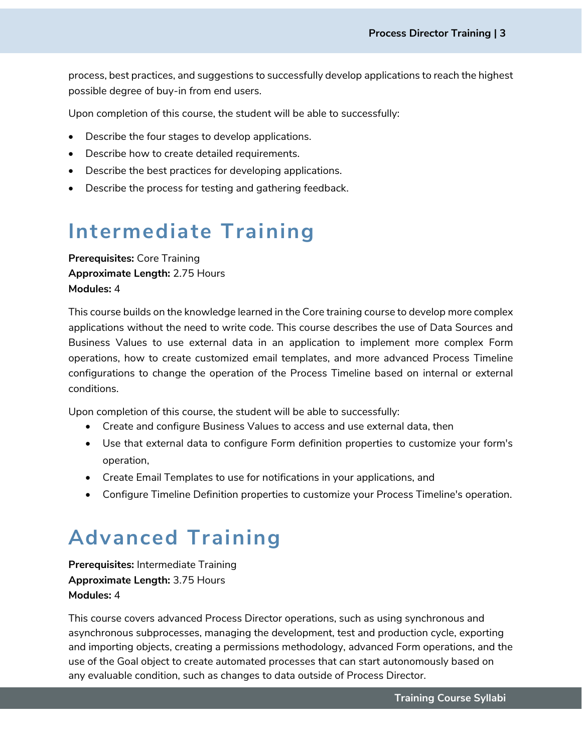process, best practices, and suggestions to successfully develop applications to reach the highest possible degree of buy-in from end users.

Upon completion of this course, the student will be able to successfully:

- Describe the four stages to develop applications.
- Describe how to create detailed requirements.
- Describe the best practices for developing applications.
- Describe the process for testing and gathering feedback.

#### <span id="page-4-0"></span>**Intermediate Training**

**Prerequisites:** Core Training **Approximate Length:** 2.75 Hours **Modules:** 4

This course builds on the knowledge learned in the Core training course to develop more complex applications without the need to write code. This course describes the use of Data Sources and Business Values to use external data in an application to implement more complex Form operations, how to create customized email templates, and more advanced Process Timeline configurations to change the operation of the Process Timeline based on internal or external conditions.

Upon completion of this course, the student will be able to successfully:

- Create and configure Business Values to access and use external data, then
- Use that external data to configure Form definition properties to customize your form's operation,
- Create Email Templates to use for notifications in your applications, and
- Configure Timeline Definition properties to customize your Process Timeline's operation.

#### <span id="page-4-1"></span>**Advanced Training**

**Prerequisites:** Intermediate Training **Approximate Length:** 3.75 Hours **Modules:** 4

This course covers advanced Process Director operations, such as using synchronous and asynchronous subprocesses, managing the development, test and production cycle, exporting and importing objects, creating a permissions methodology, advanced Form operations, and the use of the Goal object to create automated processes that can start autonomously based on any evaluable condition, such as changes to data outside of Process Director.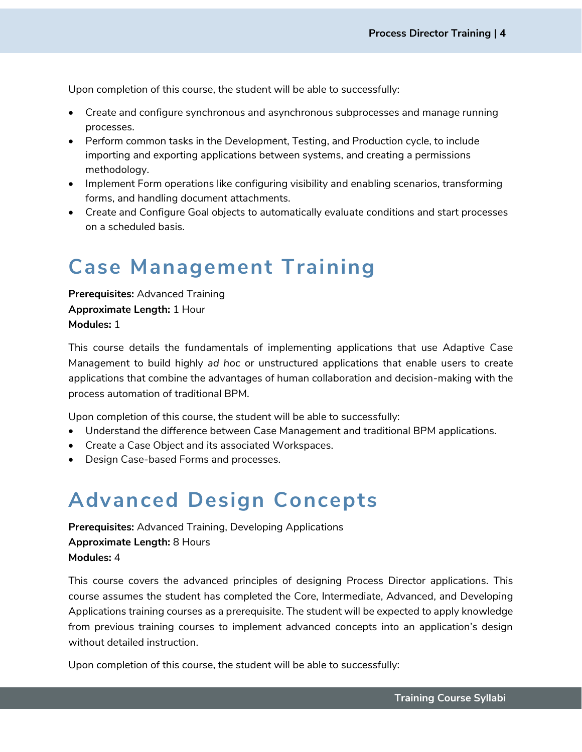Upon completion of this course, the student will be able to successfully:

- Create and configure synchronous and asynchronous subprocesses and manage running processes.
- Perform common tasks in the Development, Testing, and Production cycle, to include importing and exporting applications between systems, and creating a permissions methodology.
- Implement Form operations like configuring visibility and enabling scenarios, transforming forms, and handling document attachments.
- Create and Configure Goal objects to automatically evaluate conditions and start processes on a scheduled basis.

## <span id="page-5-0"></span>**Case Management Training**

**Prerequisites:** Advanced Training **Approximate Length:** 1 Hour **Modules:** 1

This course details the fundamentals of implementing applications that use Adaptive Case Management to build highly *ad hoc* or unstructured applications that enable users to create applications that combine the advantages of human collaboration and decision-making with the process automation of traditional BPM.

Upon completion of this course, the student will be able to successfully:

- Understand the difference between Case Management and traditional BPM applications.
- Create a Case Object and its associated Workspaces.
- <span id="page-5-1"></span>• Design Case-based Forms and processes.

#### **Advanced Design Concepts**

**Prerequisites:** Advanced Training, Developing Applications **Approximate Length:** 8 Hours **Modules:** 4

This course covers the advanced principles of designing Process Director applications. This course assumes the student has completed the Core, Intermediate, Advanced, and Developing Applications training courses as a prerequisite. The student will be expected to apply knowledge from previous training courses to implement advanced concepts into an application's design without detailed instruction.

Upon completion of this course, the student will be able to successfully: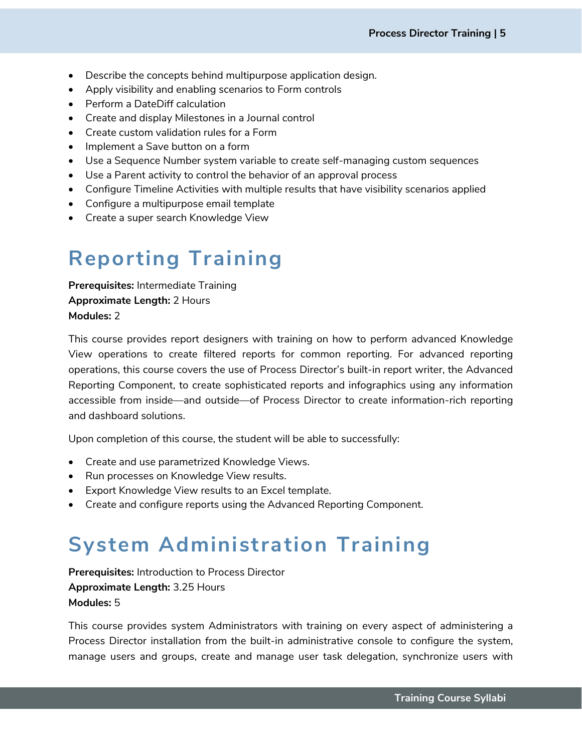- Describe the concepts behind multipurpose application design.
- Apply visibility and enabling scenarios to Form controls
- Perform a DateDiff calculation
- Create and display Milestones in a Journal control
- Create custom validation rules for a Form
- Implement a Save button on a form
- Use a Sequence Number system variable to create self-managing custom sequences
- Use a Parent activity to control the behavior of an approval process
- Configure Timeline Activities with multiple results that have visibility scenarios applied
- Configure a multipurpose email template
- <span id="page-6-0"></span>• Create a super search Knowledge View

# **Reporting Training**

**Prerequisites:** Intermediate Training **Approximate Length:** 2 Hours **Modules:** 2

This course provides report designers with training on how to perform advanced Knowledge View operations to create filtered reports for common reporting. For advanced reporting operations, this course covers the use of Process Director's built-in report writer, the Advanced Reporting Component, to create sophisticated reports and infographics using any information accessible from inside—and outside—of Process Director to create information-rich reporting and dashboard solutions.

Upon completion of this course, the student will be able to successfully:

- Create and use parametrized Knowledge Views.
- Run processes on Knowledge View results.
- Export Knowledge View results to an Excel template.
- <span id="page-6-1"></span>• Create and configure reports using the Advanced Reporting Component.

# **System Administration Training**

**Prerequisites:** Introduction to Process Director **Approximate Length:** 3.25 Hours **Modules:** 5

This course provides system Administrators with training on every aspect of administering a Process Director installation from the built-in administrative console to configure the system, manage users and groups, create and manage user task delegation, synchronize users with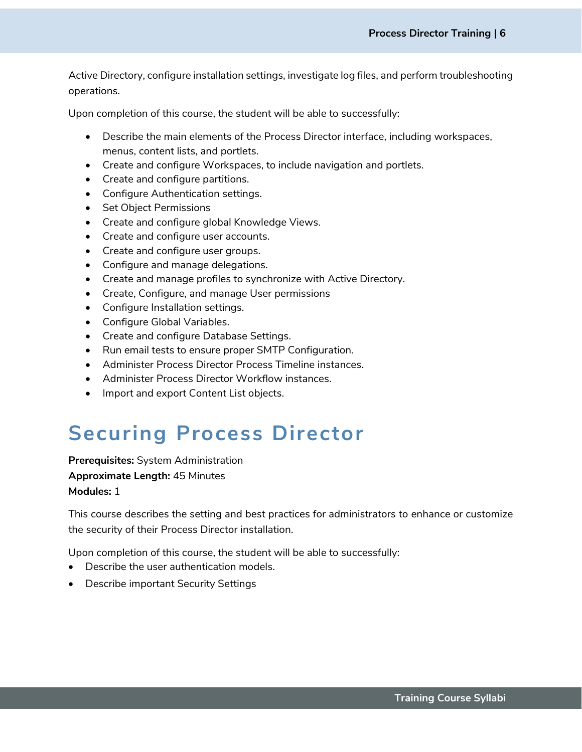Active Directory, configure installation settings, investigate log files, and perform troubleshooting operations.

Upon completion of this course, the student will be able to successfully:

- Describe the main elements of the Process Director interface, including workspaces, menus, content lists, and portlets.
- Create and configure Workspaces, to include navigation and portlets.
- Create and configure partitions.
- Configure Authentication settings.
- Set Object Permissions
- Create and configure global Knowledge Views.
- Create and configure user accounts.
- Create and configure user groups.
- Configure and manage delegations.
- Create and manage profiles to synchronize with Active Directory.
- Create, Configure, and manage User permissions
- Configure Installation settings.
- Configure Global Variables.
- Create and configure Database Settings.
- Run email tests to ensure proper SMTP Configuration.
- Administer Process Director Process Timeline instances.
- Administer Process Director Workflow instances.
- Import and export Content List objects.

## <span id="page-7-0"></span>**Securing Process Director**

**Prerequisites:** System Administration **Approximate Length:** 45 Minutes **Modules:** 1

This course describes the setting and best practices for administrators to enhance or customize the security of their Process Director installation.

Upon completion of this course, the student will be able to successfully:

- Describe the user authentication models.
- Describe important Security Settings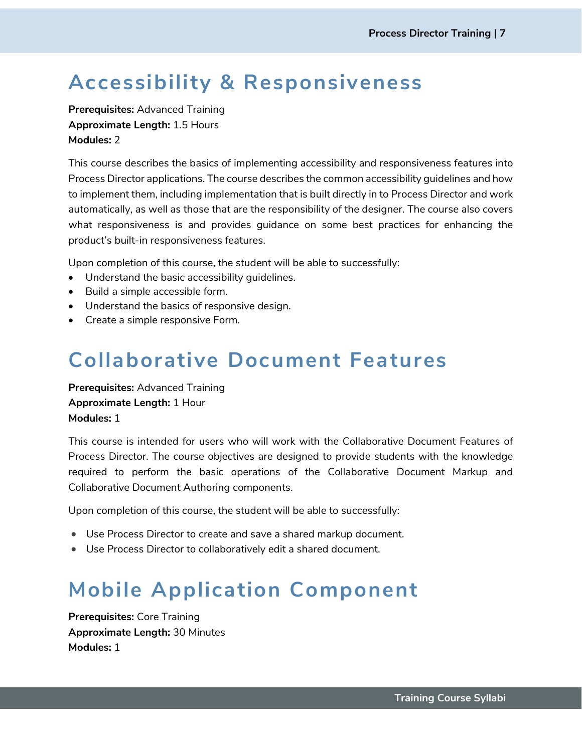# <span id="page-8-0"></span>**Accessibility & Responsiveness**

**Prerequisites:** Advanced Training **Approximate Length:** 1.5 Hours **Modules:** 2

This course describes the basics of implementing accessibility and responsiveness features into Process Director applications. The course describes the common accessibility guidelines and how to implement them, including implementation that is built directly in to Process Director and work automatically, as well as those that are the responsibility of the designer. The course also covers what responsiveness is and provides guidance on some best practices for enhancing the product's built-in responsiveness features.

Upon completion of this course, the student will be able to successfully:

- Understand the basic accessibility guidelines.
- Build a simple accessible form.
- Understand the basics of responsive design.
- <span id="page-8-1"></span>• Create a simple responsive Form.

#### **Collaborative Document Features**

**Prerequisites:** Advanced Training **Approximate Length:** 1 Hour **Modules:** 1

This course is intended for users who will work with the Collaborative Document Features of Process Director. The course objectives are designed to provide students with the knowledge required to perform the basic operations of the Collaborative Document Markup and Collaborative Document Authoring components.

Upon completion of this course, the student will be able to successfully:

- Use Process Director to create and save a shared markup document.
- <span id="page-8-2"></span>• Use Process Director to collaboratively edit a shared document.

## **Mobile Application Component**

**Prerequisites:** Core Training **Approximate Length:** 30 Minutes **Modules:** 1